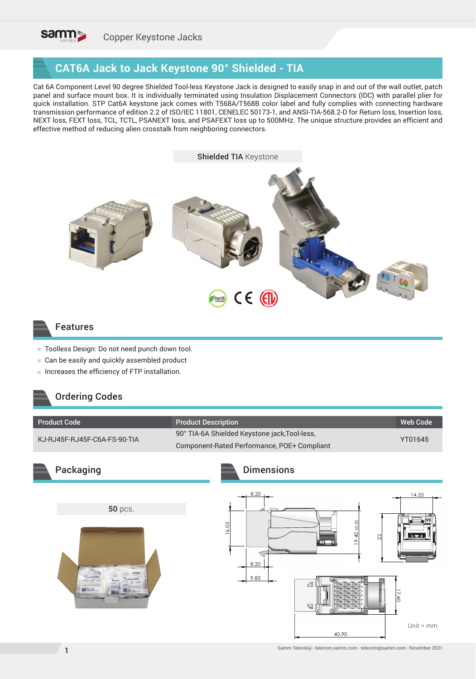

### **CAT6A Jack to Jack Keystone 90° Shielded - TIA**

Cat 6A Component Level 90 degree Shielded Tool-less Keystone Jack is designed to easily snap in and out of the wall outlet, patch panel and surface mount box. It is individually terminated using Insulation Displacement Connectors (IDC) with parallel plier for quick installation. STP Cat6A keystone jack comes with T568A/T568B color label and fully complies with connecting hardware transmission performance of edition 2.2 of ISO/IEC 11801, CENELEC 50173-1, and ANSI-TIA-568.2-D for Return loss, Insertion loss, NEXT loss, FEXT loss, TCL, TCTL, PSANEXT loss, and PSAFEXT loss up to 500MHz. The unique structure provides an efficient and effective method of reducing alien crosstalk from neighboring connectors.



#### Features

- Toolless Design: Do not need punch down tool.
- Can be easily and quickly assembled product
- Increases the efficiency of FTP installation.

### Ordering Codes